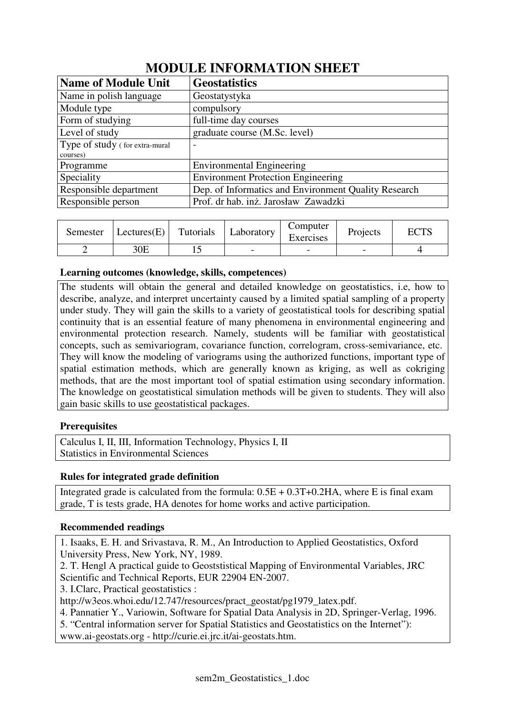# **MODULE INFORMATION SHEET**

| <b>Name of Module Unit</b>     | <b>Geostatistics</b>                                 |
|--------------------------------|------------------------------------------------------|
| Name in polish language        | Geostatystyka                                        |
| Module type                    | compulsory                                           |
| Form of studying               | full-time day courses                                |
| Level of study                 | graduate course (M.Sc. level)                        |
| Type of study (for extra-mural | $\overline{\phantom{0}}$                             |
| courses)                       |                                                      |
| Programme                      | <b>Environmental Engineering</b>                     |
| Speciality                     | <b>Environment Protection Engineering</b>            |
| Responsible department         | Dep. of Informatics and Environment Quality Research |
| Responsible person             | Prof. dr hab. inż. Jarosław Zawadzki                 |

| Semester | Lectures(E) | Tutorials | Laboratory               | Computer<br>Exercises    | Projects | <b>DODA</b> |
|----------|-------------|-----------|--------------------------|--------------------------|----------|-------------|
|          | 30E         |           | $\overline{\phantom{0}}$ | $\overline{\phantom{0}}$ |          |             |

## **Learning outcomes (knowledge, skills, competences)**

The students will obtain the general and detailed knowledge on geostatistics, i.e, how to describe, analyze, and interpret uncertainty caused by a limited spatial sampling of a property under study. They will gain the skills to a variety of geostatistical tools for describing spatial continuity that is an essential feature of many phenomena in environmental engineering and environmental protection research. Namely, students will be familiar with geostatistical concepts, such as semivariogram, covariance function, correlogram, cross-semivariance, etc. They will know the modeling of variograms using the authorized functions, important type of spatial estimation methods, which are generally known as kriging, as well as cokriging methods, that are the most important tool of spatial estimation using secondary information. The knowledge on geostatistical simulation methods will be given to students. They will also gain basic skills to use geostatistical packages.

## **Prerequisites**

Calculus I, II, III, Information Technology, Physics I, II Statistics in Environmental Sciences

## **Rules for integrated grade definition**

Integrated grade is calculated from the formula:  $0.5E + 0.3T + 0.2HA$ , where E is final exam grade, T is tests grade, HA denotes for home works and active participation.

## **Recommended readings**

1. Isaaks, E. H. and Srivastava, R. M., An Introduction to Applied Geostatistics, Oxford University Press, New York, NY, 1989.

2. T. Hengl A practical guide to Geoststistical Mapping of Environmental Variables, JRC Scientific and Technical Reports, EUR 22904 EN-2007.

3. I.Clarc, Practical geostatistics :

http://w3eos.whoi.edu/12.747/resources/pract\_geostat/pg1979\_latex.pdf.

4. Pannatier Y., Variowin, Software for Spatial Data Analysis in 2D, Springer-Verlag, 1996.

5. "Central information server for Spatial Statistics and Geostatistics on the Internet"):

www.ai-geostats.org - http://curie.ei.jrc.it/ai-geostats.htm.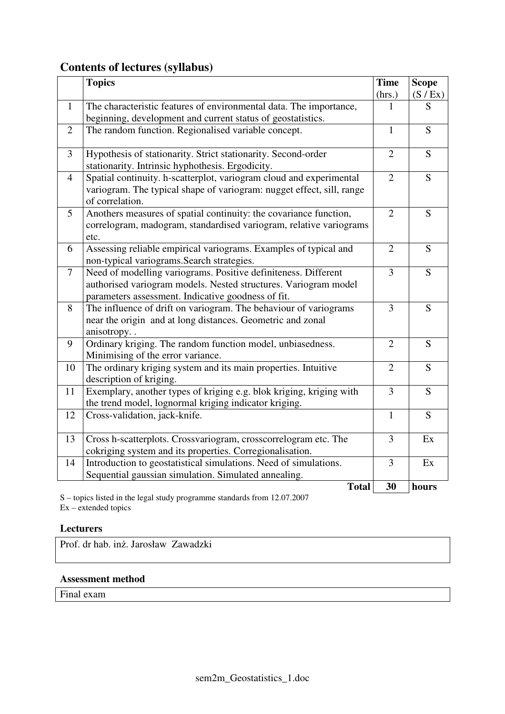# **Contents of lectures (syllabus)**

|                 | <b>Topics</b>                                                                                                                                                                           | <b>Time</b>    | <b>Scope</b> |
|-----------------|-----------------------------------------------------------------------------------------------------------------------------------------------------------------------------------------|----------------|--------------|
|                 |                                                                                                                                                                                         | (hrs.)         | (S / Ex)     |
| $\mathbf{1}$    | The characteristic features of environmental data. The importance,                                                                                                                      | 1              | S            |
|                 | beginning, development and current status of geostatistics.                                                                                                                             |                |              |
| $\overline{2}$  | The random function. Regionalised variable concept.                                                                                                                                     | $\mathbf{1}$   | S            |
| $\overline{3}$  | Hypothesis of stationarity. Strict stationarity. Second-order<br>stationarity. Intrinsic hyphothesis. Ergodicity.                                                                       | $\overline{2}$ | S            |
| $\overline{4}$  | Spatial continuity. h-scatterplot, variogram cloud and experimental<br>variogram. The typical shape of variogram: nugget effect, sill, range<br>of correlation.                         | $\overline{2}$ | S            |
| $5\overline{)}$ | Anothers measures of spatial continuity: the covariance function,<br>correlogram, madogram, standardised variogram, relative variograms<br>etc.                                         | $\overline{2}$ | S            |
| 6               | Assessing reliable empirical variograms. Examples of typical and<br>non-typical variograms. Search strategies.                                                                          | $\overline{2}$ | S            |
| 7               | Need of modelling variograms. Positive definiteness. Different<br>authorised variogram models. Nested structures. Variogram model<br>parameters assessment. Indicative goodness of fit. | 3              | S            |
| 8               | The influence of drift on variogram. The behaviour of variograms<br>near the origin and at long distances. Geometric and zonal<br>anisotropy. .                                         | 3              | S            |
| 9               | Ordinary kriging. The random function model, unbiasedness.<br>Minimising of the error variance.                                                                                         | $\overline{2}$ | S            |
| 10              | The ordinary kriging system and its main properties. Intuitive<br>description of kriging.                                                                                               | $\overline{2}$ | S            |
| 11              | Exemplary, another types of kriging e.g. blok kriging, kriging with<br>the trend model, lognormal kriging indicator kriging.                                                            | 3              | S            |
| 12              | Cross-validation, jack-knife.                                                                                                                                                           | $\mathbf{1}$   | S            |
| 13              | Cross h-scatterplots. Crossvariogram, crosscorrelogram etc. The<br>cokriging system and its properties. Corregionalisation.                                                             | 3              | Ex           |
| 14              | Introduction to geostatistical simulations. Need of simulations.<br>Sequential gaussian simulation. Simulated annealing.                                                                | 3              | Ex           |
|                 | <b>Total</b>                                                                                                                                                                            | 30             | hours        |

S – topics listed in the legal study programme standards from 12.07.2007  $Ex - extended topics$ 

#### **Lecturers**

Prof. dr hab. inż. Jarosław Zawadzki

## **Assessment method**

Final exam